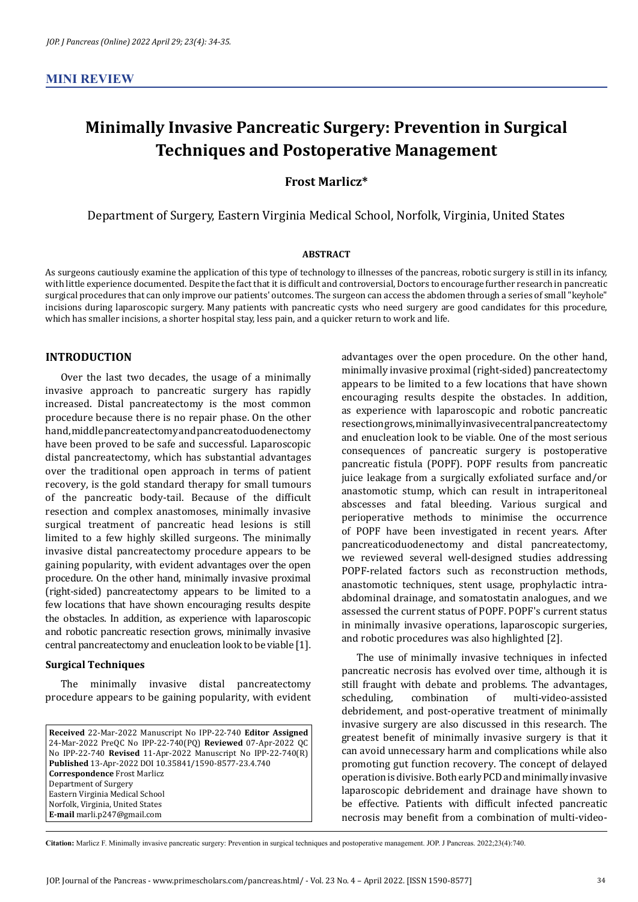# **Minimally Invasive Pancreatic Surgery: Prevention in Surgical Techniques and Postoperative Management**

# **Frost Marlicz\***

Department of Surgery, Eastern Virginia Medical School, Norfolk, Virginia, United States

#### **ABSTRACT**

As surgeons cautiously examine the application of this type of technology to illnesses of the pancreas, robotic surgery is still in its infancy, with little experience documented. Despite the fact that it is difficult and controversial, Doctors to encourage further research in pancreatic surgical procedures that can only improve our patients' outcomes. The surgeon can access the abdomen through a series of small "keyhole" incisions during laparoscopic surgery. Many patients with pancreatic cysts who need surgery are good candidates for this procedure, which has smaller incisions, a shorter hospital stay, less pain, and a quicker return to work and life.

### **INTRODUCTION**

Over the last two decades, the usage of a minimally invasive approach to pancreatic surgery has rapidly increased. Distal pancreatectomy is the most common procedure because there is no repair phase. On the other hand, middle pancreatectomy and pancreatoduodenectomy have been proved to be safe and successful. Laparoscopic distal pancreatectomy, which has substantial advantages over the traditional open approach in terms of patient recovery, is the gold standard therapy for small tumours of the pancreatic body-tail. Because of the difficult resection and complex anastomoses, minimally invasive surgical treatment of pancreatic head lesions is still limited to a few highly skilled surgeons. The minimally invasive distal pancreatectomy procedure appears to be gaining popularity, with evident advantages over the open procedure. On the other hand, minimally invasive proximal (right-sided) pancreatectomy appears to be limited to a few locations that have shown encouraging results despite the obstacles. In addition, as experience with laparoscopic and robotic pancreatic resection grows, minimally invasive central pancreatectomy and enucleation look to be viable [1].

#### **Surgical Techniques**

The minimally invasive distal pancreatectomy procedure appears to be gaining popularity, with evident

**Received** 22-Mar-2022 Manuscript No IPP-22-740 **Editor Assigned**  24-Mar-2022 PreQC No IPP-22-740(PQ) **Reviewed** 07-Apr-2022 QC No IPP-22-740 **Revised** 11-Apr-2022 Manuscript No IPP-22-740(R) **Published** 13-Apr-2022 DOI 10.35841/1590-8577-23.4.740 **Correspondence** Frost Marlicz Department of Surgery Eastern Virginia Medical School Norfolk, Virginia, United States **E-mail** marli.p247@gmail.com

advantages over the open procedure. On the other hand, minimally invasive proximal (right-sided) pancreatectomy appears to be limited to a few locations that have shown encouraging results despite the obstacles. In addition, as experience with laparoscopic and robotic pancreatic resection grows, minimally invasive central pancreatectomy and enucleation look to be viable. One of the most serious consequences of pancreatic surgery is postoperative pancreatic fistula (POPF). POPF results from pancreatic juice leakage from a surgically exfoliated surface and/or anastomotic stump, which can result in intraperitoneal abscesses and fatal bleeding. Various surgical and perioperative methods to minimise the occurrence of POPF have been investigated in recent years. After pancreaticoduodenectomy and distal pancreatectomy, we reviewed several well-designed studies addressing POPF-related factors such as reconstruction methods, anastomotic techniques, stent usage, prophylactic intraabdominal drainage, and somatostatin analogues, and we assessed the current status of POPF. POPF's current status in minimally invasive operations, laparoscopic surgeries, and robotic procedures was also highlighted [2].

The use of minimally invasive techniques in infected pancreatic necrosis has evolved over time, although it is still fraught with debate and problems. The advantages,<br>scheduling, combination of multi-video-assisted multi-video-assisted debridement, and post-operative treatment of minimally invasive surgery are also discussed in this research. The greatest benefit of minimally invasive surgery is that it can avoid unnecessary harm and complications while also promoting gut function recovery. The concept of delayed operation is divisive. Both early PCD and minimally invasive laparoscopic debridement and drainage have shown to be effective. Patients with difficult infected pancreatic necrosis may benefit from a combination of multi-video-

**Citation:** Marlicz F. Minimally invasive pancreatic surgery: Prevention in surgical techniques and postoperative management. JOP. J Pancreas. 2022;23(4):740.